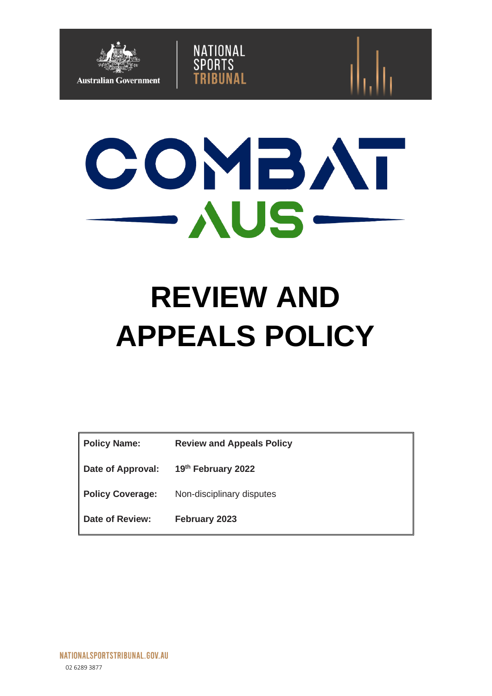

# COMBAT  $\rightarrow$   $\wedge$ US  $-$

NATIONAL<br>SPORTS

RIINAI

# **REVIEW AND APPEALS POLICY**

| <b>Policy Name:</b>     | <b>Review and Appeals Policy</b> |
|-------------------------|----------------------------------|
| Date of Approval:       | 19th February 2022               |
| <b>Policy Coverage:</b> | Non-disciplinary disputes        |
| Date of Review:         | February 2023                    |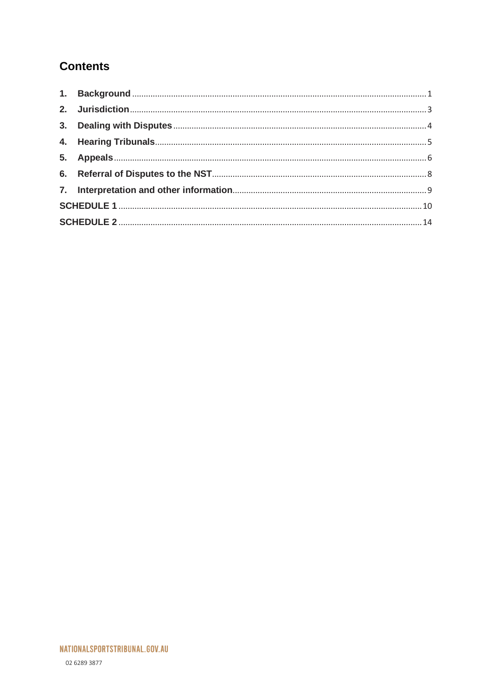# **Contents**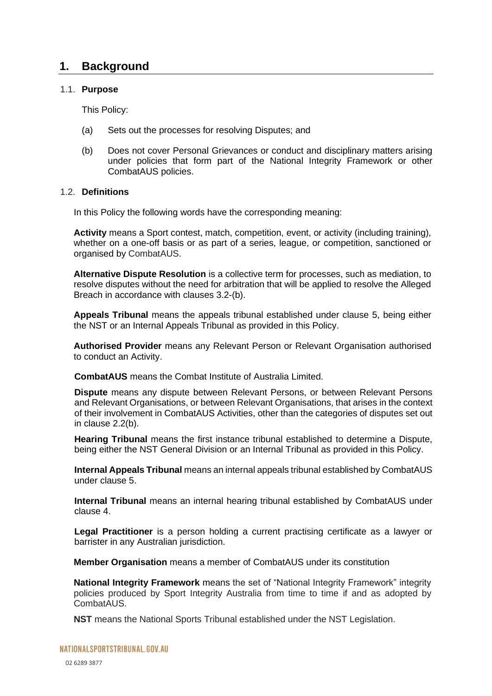## <span id="page-2-0"></span>**1. Background**

#### 1.1. **Purpose**

This Policy:

- (a) Sets out the processes for resolving Disputes; and
- (b) Does not cover Personal Grievances or conduct and disciplinary matters arising under policies that form part of the National Integrity Framework or other CombatAUS policies.

#### 1.2. **Definitions**

In this Policy the following words have the corresponding meaning:

**Activity** means a Sport contest, match, competition, event, or activity (including training), whether on a one-off basis or as part of a series, league, or competition, sanctioned or organised by CombatAUS.

**Alternative Dispute Resolution** is a collective term for processes, such as mediation, to resolve disputes without the need for arbitration that will be applied to resolve the Alleged Breach in accordance with clauses [3.2](#page-5-1)[-\(b\).](#page-6-1)

**Appeals Tribunal** means the appeals tribunal established under clause [5,](#page-7-0) being either the NST or an Internal Appeals Tribunal as provided in this Policy.

**Authorised Provider** means any Relevant Person or Relevant Organisation authorised to conduct an Activity.

**CombatAUS** means the Combat Institute of Australia Limited.

**Dispute** means any dispute between Relevant Persons, or between Relevant Persons and Relevant Organisations, or between Relevant Organisations, that arises in the context of their involvement in CombatAUS Activities, other than the categories of disputes set out in clause [2.2\(](#page-4-1)b).

**Hearing Tribunal** means the first instance tribunal established to determine a Dispute, being either the NST General Division or an Internal Tribunal as provided in this Policy.

**Internal Appeals Tribunal** means an internal appeals tribunal established by CombatAUS under clause [5.](#page-7-0)

**Internal Tribunal** means an internal hearing tribunal established by CombatAUS under clause [4.](#page-6-0)

**Legal Practitioner** is a person holding a current practising certificate as a lawyer or barrister in any Australian jurisdiction.

**Member Organisation** means a member of CombatAUS under its constitution

**National Integrity Framework** means the set of "National Integrity Framework" integrity policies produced by Sport Integrity Australia from time to time if and as adopted by CombatAUS.

**NST** means the National Sports Tribunal established under the NST Legislation.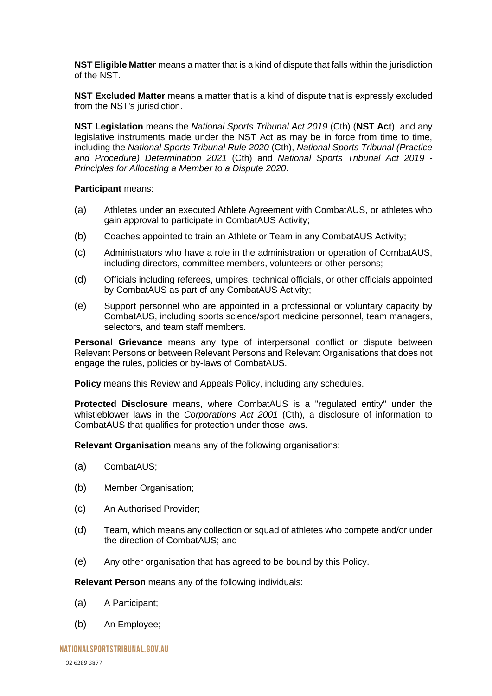**NST Eligible Matter** means a matter that is a kind of dispute that falls within the jurisdiction of the NST.

**NST Excluded Matter** means a matter that is a kind of dispute that is expressly excluded from the NST's jurisdiction.

**NST Legislation** means the *National Sports Tribunal Act 2019* (Cth) (**NST Act**), and any legislative instruments made under the NST Act as may be in force from time to time, including the *National Sports Tribunal Rule 2020* (Cth), *National Sports Tribunal (Practice and Procedure) Determination 2021* (Cth) and *National Sports Tribunal Act 2019 - Principles for Allocating a Member to a Dispute 2020*.

#### **Participant** means:

- (a) Athletes under an executed Athlete Agreement with CombatAUS, or athletes who gain approval to participate in CombatAUS Activity;
- (b) Coaches appointed to train an Athlete or Team in any CombatAUS Activity;
- (c) Administrators who have a role in the administration or operation of CombatAUS, including directors, committee members, volunteers or other persons;
- (d) Officials including referees, umpires, technical officials, or other officials appointed by CombatAUS as part of any CombatAUS Activity;
- (e) Support personnel who are appointed in a professional or voluntary capacity by CombatAUS, including sports science/sport medicine personnel, team managers, selectors, and team staff members.

**Personal Grievance** means any type of interpersonal conflict or dispute between Relevant Persons or between Relevant Persons and Relevant Organisations that does not engage the rules, policies or by-laws of CombatAUS.

**Policy** means this Review and Appeals Policy, including any schedules.

**Protected Disclosure** means, where CombatAUS is a "regulated entity" under the whistleblower laws in the *Corporations Act 2001* (Cth), a disclosure of information to CombatAUS that qualifies for protection under those laws.

**Relevant Organisation** means any of the following organisations:

- (a) CombatAUS;
- (b) Member Organisation;
- (c) An Authorised Provider;
- (d) Team, which means any collection or squad of athletes who compete and/or under the direction of CombatAUS; and
- (e) Any other organisation that has agreed to be bound by this Policy.

**Relevant Person** means any of the following individuals:

- (a) A Participant;
- (b) An Employee;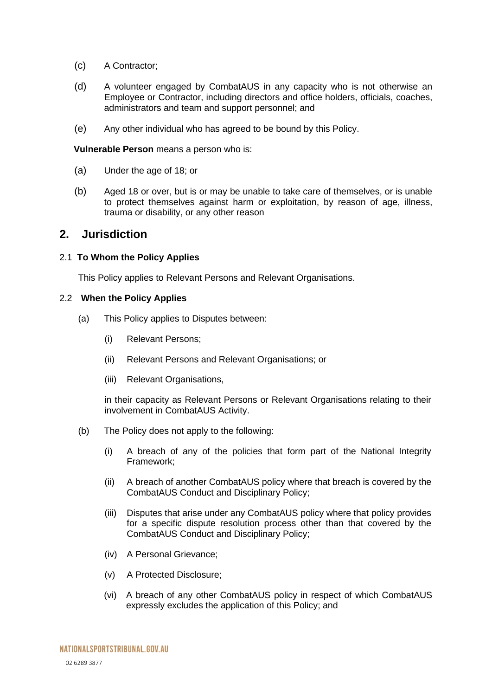- (c) A Contractor;
- (d) A volunteer engaged by CombatAUS in any capacity who is not otherwise an Employee or Contractor, including directors and office holders, officials, coaches, administrators and team and support personnel; and
- (e) Any other individual who has agreed to be bound by this Policy.

**Vulnerable Person** means a person who is:

- (a) Under the age of 18; or
- (b) Aged 18 or over, but is or may be unable to take care of themselves, or is unable to protect themselves against harm or exploitation, by reason of age, illness, trauma or disability, or any other reason

#### <span id="page-4-0"></span>**2. Jurisdiction**

#### 2.1 **To Whom the Policy Applies**

This Policy applies to Relevant Persons and Relevant Organisations.

#### <span id="page-4-1"></span>2.2 **When the Policy Applies**

- (a) This Policy applies to Disputes between:
	- (i) Relevant Persons;
	- (ii) Relevant Persons and Relevant Organisations; or
	- (iii) Relevant Organisations,

in their capacity as Relevant Persons or Relevant Organisations relating to their involvement in CombatAUS Activity.

- (b) The Policy does not apply to the following:
	- (i) A breach of any of the policies that form part of the National Integrity Framework;
	- (ii) A breach of another CombatAUS policy where that breach is covered by the CombatAUS Conduct and Disciplinary Policy;
	- (iii) Disputes that arise under any CombatAUS policy where that policy provides for a specific dispute resolution process other than that covered by the CombatAUS Conduct and Disciplinary Policy;
	- (iv) A Personal Grievance;
	- (v) A Protected Disclosure;
	- (vi) A breach of any other CombatAUS policy in respect of which CombatAUS expressly excludes the application of this Policy; and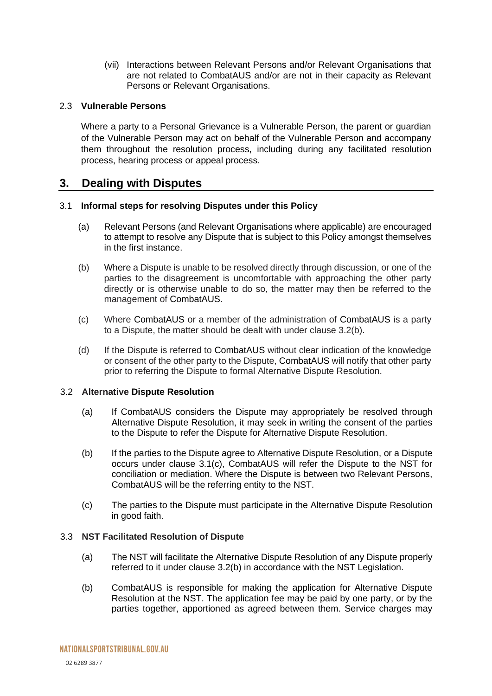(vii) Interactions between Relevant Persons and/or Relevant Organisations that are not related to CombatAUS and/or are not in their capacity as Relevant Persons or Relevant Organisations.

#### 2.3 **Vulnerable Persons**

Where a party to a Personal Grievance is a Vulnerable Person, the parent or guardian of the Vulnerable Person may act on behalf of the Vulnerable Person and accompany them throughout the resolution process, including during any facilitated resolution process, hearing process or appeal process.

# <span id="page-5-0"></span>**3. Dealing with Disputes**

#### 3.1 **Informal steps for resolving Disputes under this Policy**

- (a) Relevant Persons (and Relevant Organisations where applicable) are encouraged to attempt to resolve any Dispute that is subject to this Policy amongst themselves in the first instance.
- (b) Where a Dispute is unable to be resolved directly through discussion, or one of the parties to the disagreement is uncomfortable with approaching the other party directly or is otherwise unable to do so, the matter may then be referred to the management of CombatAUS.
- (c) Where CombatAUS or a member of the administration of CombatAUS is a party to a Dispute, the matter should be dealt with under clause 3.2(b).
- (d) If the Dispute is referred to CombatAUS without clear indication of the knowledge or consent of the other party to the Dispute, CombatAUS will notify that other party prior to referring the Dispute to formal Alternative Dispute Resolution.

#### <span id="page-5-1"></span>3.2 **Alternative Dispute Resolution**

- (a) If CombatAUS considers the Dispute may appropriately be resolved through Alternative Dispute Resolution, it may seek in writing the consent of the parties to the Dispute to refer the Dispute for Alternative Dispute Resolution.
- (b) If the parties to the Dispute agree to Alternative Dispute Resolution, or a Dispute occurs under clause 3.1(c), CombatAUS will refer the Dispute to the NST for conciliation or mediation. Where the Dispute is between two Relevant Persons, CombatAUS will be the referring entity to the NST.
- (c) The parties to the Dispute must participate in the Alternative Dispute Resolution in good faith.

#### 3.3 **NST Facilitated Resolution of Dispute**

- (a) The NST will facilitate the Alternative Dispute Resolution of any Dispute properly referred to it under clause [3.2\(](#page-5-1)b) in accordance with the NST Legislation.
- (b) CombatAUS is responsible for making the application for Alternative Dispute Resolution at the NST. The application fee may be paid by one party, or by the parties together, apportioned as agreed between them. Service charges may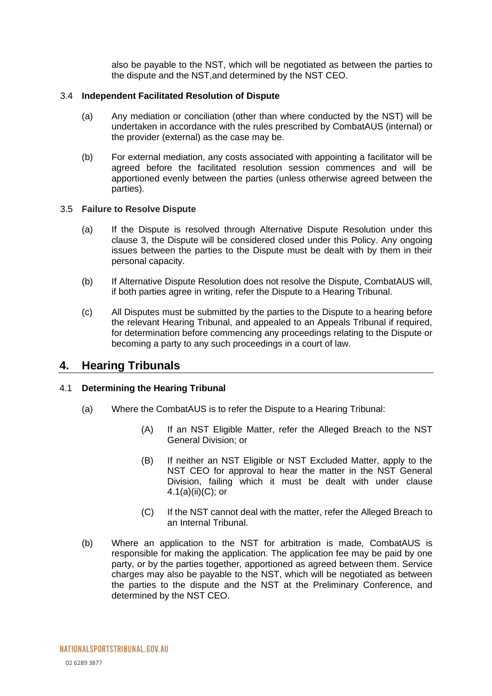<span id="page-6-1"></span>also be payable to the NST, which will be negotiated as between the parties to the dispute and the NST,and determined by the NST CEO.

#### 3.4 **Independent Facilitated Resolution of Dispute**

- (a) Any mediation or conciliation (other than where conducted by the NST) will be undertaken in accordance with the rules prescribed by CombatAUS (internal) or the provider (external) as the case may be.
- (b) For external mediation, any costs associated with appointing a facilitator will be agreed before the facilitated resolution session commences and will be apportioned evenly between the parties (unless otherwise agreed between the parties).

#### 3.5 **Failure to Resolve Dispute**

- (a) If the Dispute is resolved through Alternative Dispute Resolution under this clause [3,](#page-5-0) the Dispute will be considered closed under this Policy. Any ongoing issues between the parties to the Dispute must be dealt with by them in their personal capacity.
- (b) If Alternative Dispute Resolution does not resolve the Dispute, CombatAUS will, if both parties agree in writing, refer the Dispute to a Hearing Tribunal.
- (c) All Disputes must be submitted by the parties to the Dispute to a hearing before the relevant Hearing Tribunal, and appealed to an Appeals Tribunal if required, for determination before commencing any proceedings relating to the Dispute or becoming a party to any such proceedings in a court of law.

### <span id="page-6-0"></span>**4. Hearing Tribunals**

#### <span id="page-6-2"></span>4.1 **Determining the Hearing Tribunal**

- (a) Where the CombatAUS is to refer the Dispute to a Hearing Tribunal:
	- (A) If an NST Eligible Matter, refer the Alleged Breach to the NST General Division; or
	- (B) If neither an NST Eligible or NST Excluded Matter, apply to the NST CEO for approval to hear the matter in the NST General Division, failing which it must be dealt with under clause [4.1\(](#page-6-2)a)(ii)(C); or
	- (C) If the NST cannot deal with the matter, refer the Alleged Breach to an Internal Tribunal.
- (b) Where an application to the NST for arbitration is made, CombatAUS is responsible for making the application. The application fee may be paid by one party, or by the parties together, apportioned as agreed between them. Service charges may also be payable to the NST, which will be negotiated as between the parties to the dispute and the NST at the Preliminary Conference, and determined by the NST CEO.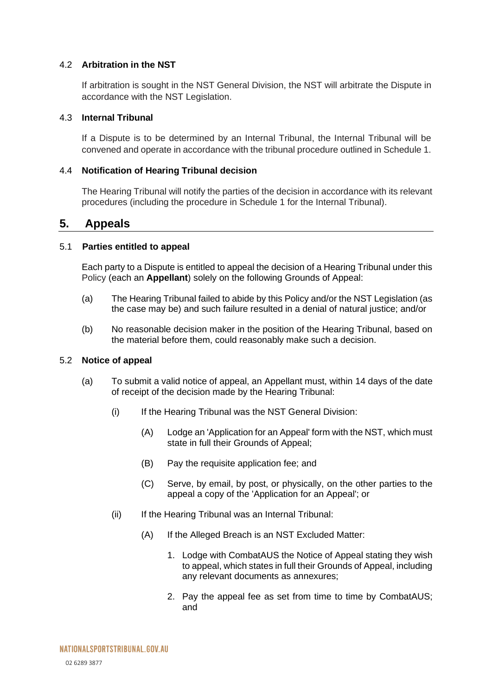#### 4.2 **Arbitration in the NST**

If arbitration is sought in the NST General Division, the NST will arbitrate the Dispute in accordance with the NST Legislation.

#### 4.3 **Internal Tribunal**

If a Dispute is to be determined by an Internal Tribunal, the Internal Tribunal will be convened and operate in accordance with the tribunal procedure outlined in Schedule 1.

#### 4.4 **Notification of Hearing Tribunal decision**

The Hearing Tribunal will notify the parties of the decision in accordance with its relevant procedures (including the procedure in Schedule 1 for the Internal Tribunal).

#### <span id="page-7-0"></span>**5. Appeals**

#### 5.1 **Parties entitled to appeal**

<span id="page-7-2"></span>Each party to a Dispute is entitled to appeal the decision of a Hearing Tribunal under this Policy (each an **Appellant**) solely on the following Grounds of Appeal:

- (a) The Hearing Tribunal failed to abide by this Policy and/or the NST Legislation (as the case may be) and such failure resulted in a denial of natural justice; and/or
- (b) No reasonable decision maker in the position of the Hearing Tribunal, based on the material before them, could reasonably make such a decision.

#### <span id="page-7-1"></span>5.2 **Notice of appeal**

- (a) To submit a valid notice of appeal, an Appellant must, within 14 days of the date of receipt of the decision made by the Hearing Tribunal:
	- (i) If the Hearing Tribunal was the NST General Division:
		- (A) Lodge an 'Application for an Appeal' form with the NST, which must state in full their Grounds of Appeal;
		- (B) Pay the requisite application fee; and
		- (C) Serve, by email, by post, or physically, on the other parties to the appeal a copy of the 'Application for an Appeal'; or
	- (ii) If the Hearing Tribunal was an Internal Tribunal:
		- (A) If the Alleged Breach is an NST Excluded Matter:
			- 1. Lodge with CombatAUS the Notice of Appeal stating they wish to appeal, which states in full their Grounds of Appeal, including any relevant documents as annexures;
			- 2. Pay the appeal fee as set from time to time by CombatAUS; and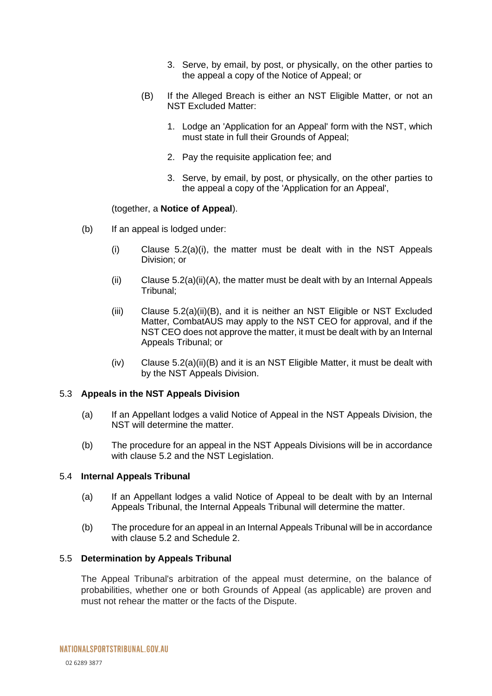- 3. Serve, by email, by post, or physically, on the other parties to the appeal a copy of the Notice of Appeal; or
- (B) If the Alleged Breach is either an NST Eligible Matter, or not an NST Excluded Matter:
	- 1. Lodge an 'Application for an Appeal' form with the NST, which must state in full their Grounds of Appeal;
	- 2. Pay the requisite application fee; and
	- 3. Serve, by email, by post, or physically, on the other parties to the appeal a copy of the 'Application for an Appeal',

#### (together, a **Notice of Appeal**).

- (b) If an appeal is lodged under:
	- (i) Clause [5.2\(](#page-7-1)a)(i), the matter must be dealt with in the NST Appeals Division; or
	- $(i)$  Clause [5.2\(](#page-7-1)a)(ii)(A), the matter must be dealt with by an Internal Appeals Tribunal;
	- (iii) Clause [5.2\(](#page-7-1)a)(ii)(B), and it is neither an NST Eligible or NST Excluded Matter, CombatAUS may apply to the NST CEO for approval, and if the NST CEO does not approve the matter, it must be dealt with by an Internal Appeals Tribunal; or
	- (iv) Clause [5.2\(](#page-7-1)a)(ii)(B) and it is an NST Eligible Matter, it must be dealt with by the NST Appeals Division.

#### 5.3 **Appeals in the NST Appeals Division**

- (a) If an Appellant lodges a valid Notice of Appeal in the NST Appeals Division, the NST will determine the matter.
- (b) The procedure for an appeal in the NST Appeals Divisions will be in accordance with clause [5.2](#page-7-1) and the NST Legislation.

#### <span id="page-8-0"></span>5.4 **Internal Appeals Tribunal**

- (a) If an Appellant lodges a valid Notice of Appeal to be dealt with by an Internal Appeals Tribunal, the Internal Appeals Tribunal will determine the matter.
- (b) The procedure for an appeal in an Internal Appeals Tribunal will be in accordance with clause [5.2](#page-7-1) and Schedule 2.

#### <span id="page-8-1"></span>5.5 **Determination by Appeals Tribunal**

The Appeal Tribunal's arbitration of the appeal must determine, on the balance of probabilities, whether one or both Grounds of Appeal (as applicable) are proven and must not rehear the matter or the facts of the Dispute.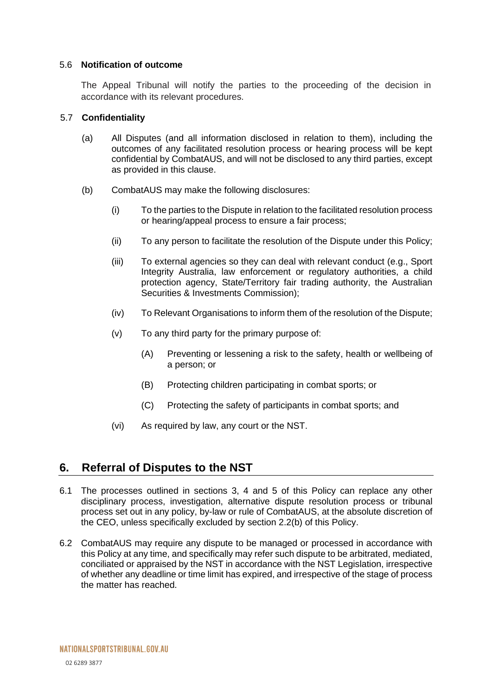#### 5.6 **Notification of outcome**

The Appeal Tribunal will notify the parties to the proceeding of the decision in accordance with its relevant procedures.

#### 5.7 **Confidentiality**

- (a) All Disputes (and all information disclosed in relation to them), including the outcomes of any facilitated resolution process or hearing process will be kept confidential by CombatAUS, and will not be disclosed to any third parties, except as provided in this clause.
- (b) CombatAUS may make the following disclosures:
	- (i) To the parties to the Dispute in relation to the facilitated resolution process or hearing/appeal process to ensure a fair process;
	- (ii) To any person to facilitate the resolution of the Dispute under this Policy;
	- (iii) To external agencies so they can deal with relevant conduct (e.g., Sport Integrity Australia, law enforcement or regulatory authorities, a child protection agency, State/Territory fair trading authority, the Australian Securities & Investments Commission);
	- (iv) To Relevant Organisations to inform them of the resolution of the Dispute;
	- (v) To any third party for the primary purpose of:
		- (A) Preventing or lessening a risk to the safety, health or wellbeing of a person; or
		- (B) Protecting children participating in combat sports; or
		- (C) Protecting the safety of participants in combat sports; and
	- (vi) As required by law, any court or the NST.

# <span id="page-9-0"></span>**6. Referral of Disputes to the NST**

- 6.1 The processes outlined in sections 3, [4](#page-6-0) and [5](#page-7-0) of this Policy can replace any other disciplinary process, investigation, alternative dispute resolution process or tribunal process set out in any policy, by-law or rule of CombatAUS, at the absolute discretion of the CEO, unless specifically excluded by section 2.2(b) of this Policy.
- 6.2 CombatAUS may require any dispute to be managed or processed in accordance with this Policy at any time, and specifically may refer such dispute to be arbitrated, mediated, conciliated or appraised by the NST in accordance with the NST Legislation, irrespective of whether any deadline or time limit has expired, and irrespective of the stage of process the matter has reached.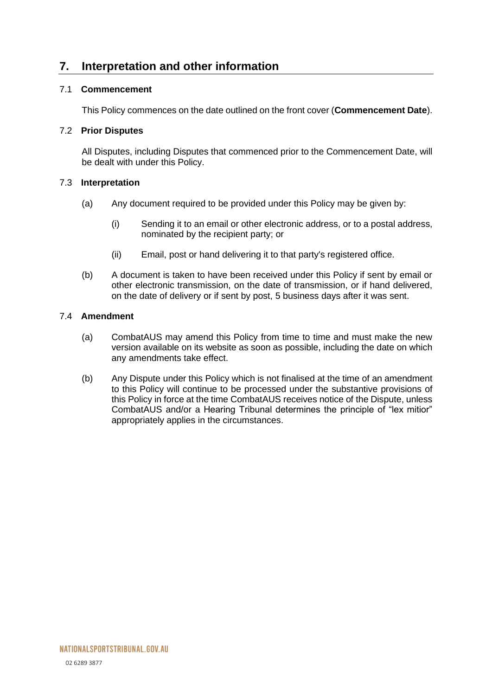# <span id="page-10-0"></span>**7. Interpretation and other information**

#### 7.1 **Commencement**

This Policy commences on the date outlined on the front cover (**Commencement Date**).

#### 7.2 **Prior Disputes**

All Disputes, including Disputes that commenced prior to the Commencement Date, will be dealt with under this Policy.

#### 7.3 **Interpretation**

- (a) Any document required to be provided under this Policy may be given by:
	- (i) Sending it to an email or other electronic address, or to a postal address, nominated by the recipient party; or
	- (ii) Email, post or hand delivering it to that party's registered office.
- (b) A document is taken to have been received under this Policy if sent by email or other electronic transmission, on the date of transmission, or if hand delivered, on the date of delivery or if sent by post, 5 business days after it was sent.

#### 7.4 **Amendment**

- (a) CombatAUS may amend this Policy from time to time and must make the new version available on its website as soon as possible, including the date on which any amendments take effect.
- (b) Any Dispute under this Policy which is not finalised at the time of an amendment to this Policy will continue to be processed under the substantive provisions of this Policy in force at the time CombatAUS receives notice of the Dispute, unless CombatAUS and/or a Hearing Tribunal determines the principle of "lex mitior" appropriately applies in the circumstances.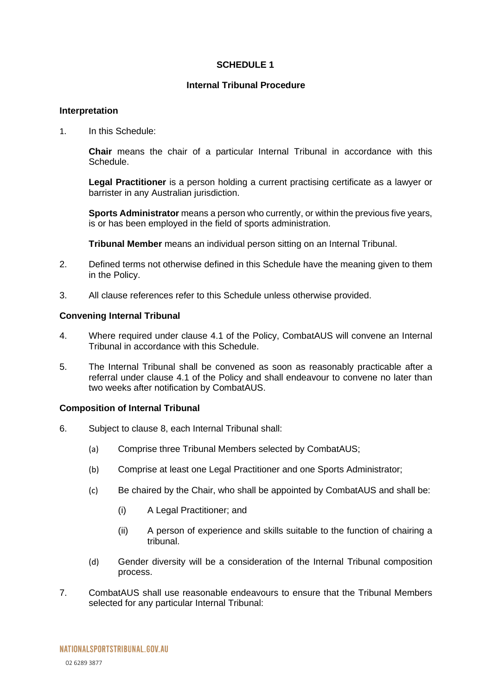#### **SCHEDULE 1**

#### **Internal Tribunal Procedure**

#### <span id="page-11-0"></span>**Interpretation**

1. In this Schedule:

**Chair** means the chair of a particular Internal Tribunal in accordance with this Schedule.

**Legal Practitioner** is a person holding a current practising certificate as a lawyer or barrister in any Australian jurisdiction.

**Sports Administrator** means a person who currently, or within the previous five years, is or has been employed in the field of sports administration.

**Tribunal Member** means an individual person sitting on an Internal Tribunal.

- 2. Defined terms not otherwise defined in this Schedule have the meaning given to them in the Policy.
- 3. All clause references refer to this Schedule unless otherwise provided.

#### **Convening Internal Tribunal**

- 4. Where required under clause [4.1](#page-6-2) of the Policy, CombatAUS will convene an Internal Tribunal in accordance with this Schedule.
- 5. The Internal Tribunal shall be convened as soon as reasonably practicable after a referral under clause [4.1](#page-6-2) of the Policy and shall endeavour to convene no later than two weeks after notification by CombatAUS.

#### **Composition of Internal Tribunal**

- 6. Subject to clause 8, each Internal Tribunal shall:
	- (a) Comprise three Tribunal Members selected by CombatAUS;
	- (b) Comprise at least one Legal Practitioner and one Sports Administrator;
	- (c) Be chaired by the Chair, who shall be appointed by CombatAUS and shall be:
		- (i) A Legal Practitioner; and
		- (ii) A person of experience and skills suitable to the function of chairing a tribunal.
	- (d) Gender diversity will be a consideration of the Internal Tribunal composition process.
- 7. CombatAUS shall use reasonable endeavours to ensure that the Tribunal Members selected for any particular Internal Tribunal: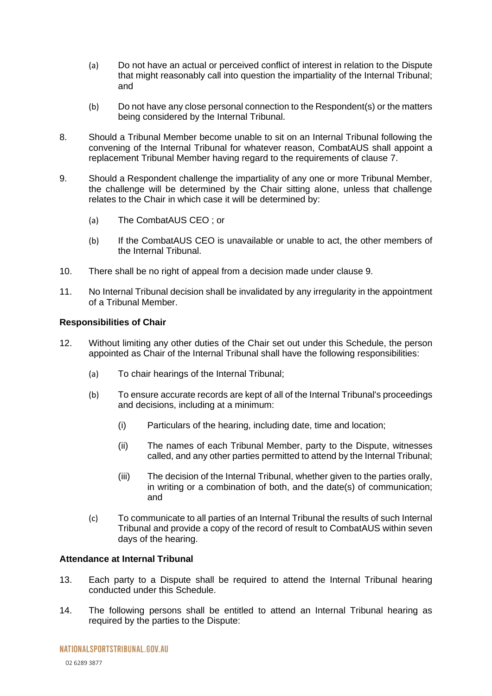- (a) Do not have an actual or perceived conflict of interest in relation to the Dispute that might reasonably call into question the impartiality of the Internal Tribunal; and
- (b) Do not have any close personal connection to the Respondent(s) or the matters being considered by the Internal Tribunal.
- 8. Should a Tribunal Member become unable to sit on an Internal Tribunal following the convening of the Internal Tribunal for whatever reason, CombatAUS shall appoint a replacement Tribunal Member having regard to the requirements of clause 7.
- 9. Should a Respondent challenge the impartiality of any one or more Tribunal Member, the challenge will be determined by the Chair sitting alone, unless that challenge relates to the Chair in which case it will be determined by:
	- (a) The CombatAUS CEO ; or
	- (b) If the CombatAUS CEO is unavailable or unable to act, the other members of the Internal Tribunal.
- 10. There shall be no right of appeal from a decision made under clause 9.
- 11. No Internal Tribunal decision shall be invalidated by any irregularity in the appointment of a Tribunal Member.

#### **Responsibilities of Chair**

- 12. Without limiting any other duties of the Chair set out under this Schedule, the person appointed as Chair of the Internal Tribunal shall have the following responsibilities:
	- (a) To chair hearings of the Internal Tribunal;
	- (b) To ensure accurate records are kept of all of the Internal Tribunal's proceedings and decisions, including at a minimum:
		- (i) Particulars of the hearing, including date, time and location;
		- (ii) The names of each Tribunal Member, party to the Dispute, witnesses called, and any other parties permitted to attend by the Internal Tribunal;
		- (iii) The decision of the Internal Tribunal, whether given to the parties orally, in writing or a combination of both, and the date(s) of communication; and
	- (c) To communicate to all parties of an Internal Tribunal the results of such Internal Tribunal and provide a copy of the record of result to CombatAUS within seven days of the hearing.

#### **Attendance at Internal Tribunal**

- 13. Each party to a Dispute shall be required to attend the Internal Tribunal hearing conducted under this Schedule.
- 14. The following persons shall be entitled to attend an Internal Tribunal hearing as required by the parties to the Dispute: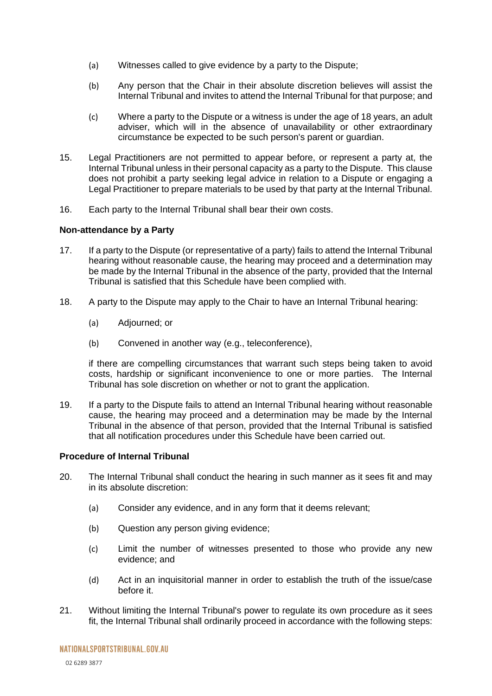- (a) Witnesses called to give evidence by a party to the Dispute;
- (b) Any person that the Chair in their absolute discretion believes will assist the Internal Tribunal and invites to attend the Internal Tribunal for that purpose; and
- (c) Where a party to the Dispute or a witness is under the age of 18 years, an adult adviser, which will in the absence of unavailability or other extraordinary circumstance be expected to be such person's parent or guardian.
- 15. Legal Practitioners are not permitted to appear before, or represent a party at, the Internal Tribunal unless in their personal capacity as a party to the Dispute. This clause does not prohibit a party seeking legal advice in relation to a Dispute or engaging a Legal Practitioner to prepare materials to be used by that party at the Internal Tribunal.
- 16. Each party to the Internal Tribunal shall bear their own costs.

#### **Non-attendance by a Party**

- 17. If a party to the Dispute (or representative of a party) fails to attend the Internal Tribunal hearing without reasonable cause, the hearing may proceed and a determination may be made by the Internal Tribunal in the absence of the party, provided that the Internal Tribunal is satisfied that this Schedule have been complied with.
- 18. A party to the Dispute may apply to the Chair to have an Internal Tribunal hearing:
	- (a) Adjourned; or
	- (b) Convened in another way (e.g., teleconference),

if there are compelling circumstances that warrant such steps being taken to avoid costs, hardship or significant inconvenience to one or more parties. The Internal Tribunal has sole discretion on whether or not to grant the application.

19. If a party to the Dispute fails to attend an Internal Tribunal hearing without reasonable cause, the hearing may proceed and a determination may be made by the Internal Tribunal in the absence of that person, provided that the Internal Tribunal is satisfied that all notification procedures under this Schedule have been carried out.

#### **Procedure of Internal Tribunal**

- 20. The Internal Tribunal shall conduct the hearing in such manner as it sees fit and may in its absolute discretion:
	- (a) Consider any evidence, and in any form that it deems relevant;
	- (b) Question any person giving evidence;
	- (c) Limit the number of witnesses presented to those who provide any new evidence; and
	- (d) Act in an inquisitorial manner in order to establish the truth of the issue/case before it.
- 21. Without limiting the Internal Tribunal's power to regulate its own procedure as it sees fit, the Internal Tribunal shall ordinarily proceed in accordance with the following steps: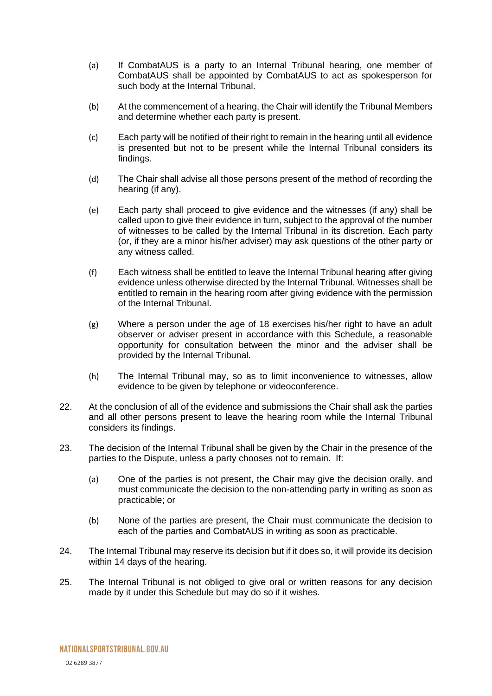- (a) If CombatAUS is a party to an Internal Tribunal hearing, one member of CombatAUS shall be appointed by CombatAUS to act as spokesperson for such body at the Internal Tribunal.
- (b) At the commencement of a hearing, the Chair will identify the Tribunal Members and determine whether each party is present.
- (c) Each party will be notified of their right to remain in the hearing until all evidence is presented but not to be present while the Internal Tribunal considers its findings.
- (d) The Chair shall advise all those persons present of the method of recording the hearing (if any).
- (e) Each party shall proceed to give evidence and the witnesses (if any) shall be called upon to give their evidence in turn, subject to the approval of the number of witnesses to be called by the Internal Tribunal in its discretion. Each party (or, if they are a minor his/her adviser) may ask questions of the other party or any witness called.
- (f) Each witness shall be entitled to leave the Internal Tribunal hearing after giving evidence unless otherwise directed by the Internal Tribunal. Witnesses shall be entitled to remain in the hearing room after giving evidence with the permission of the Internal Tribunal.
- (g) Where a person under the age of 18 exercises his/her right to have an adult observer or adviser present in accordance with this Schedule, a reasonable opportunity for consultation between the minor and the adviser shall be provided by the Internal Tribunal.
- (h) The Internal Tribunal may, so as to limit inconvenience to witnesses, allow evidence to be given by telephone or videoconference.
- 22. At the conclusion of all of the evidence and submissions the Chair shall ask the parties and all other persons present to leave the hearing room while the Internal Tribunal considers its findings.
- 23. The decision of the Internal Tribunal shall be given by the Chair in the presence of the parties to the Dispute, unless a party chooses not to remain. If:
	- (a) One of the parties is not present, the Chair may give the decision orally, and must communicate the decision to the non-attending party in writing as soon as practicable; or
	- (b) None of the parties are present, the Chair must communicate the decision to each of the parties and CombatAUS in writing as soon as practicable.
- 24. The Internal Tribunal may reserve its decision but if it does so, it will provide its decision within 14 days of the hearing.
- 25. The Internal Tribunal is not obliged to give oral or written reasons for any decision made by it under this Schedule but may do so if it wishes.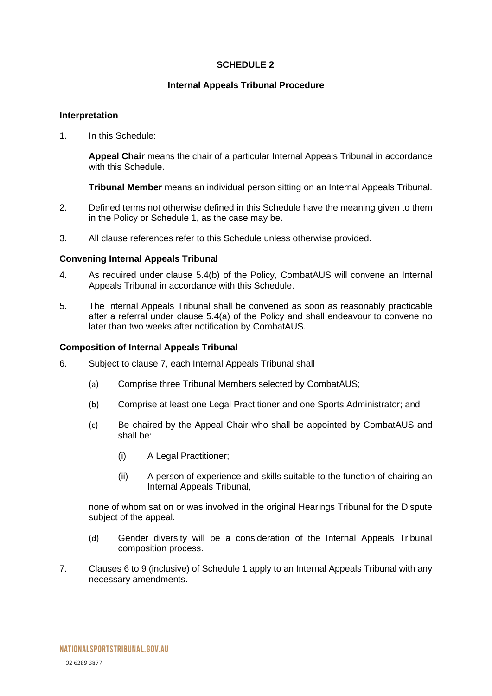#### **SCHEDULE 2**

#### **Internal Appeals Tribunal Procedure**

#### <span id="page-15-0"></span>**Interpretation**

1. In this Schedule:

**Appeal Chair** means the chair of a particular Internal Appeals Tribunal in accordance with this Schedule.

**Tribunal Member** means an individual person sitting on an Internal Appeals Tribunal.

- 2. Defined terms not otherwise defined in this Schedule have the meaning given to them in the Policy or Schedule 1, as the case may be.
- 3. All clause references refer to this Schedule unless otherwise provided.

#### **Convening Internal Appeals Tribunal**

- 4. As required under clause [5.4\(](#page-8-0)b) of the Policy, CombatAUS will convene an Internal Appeals Tribunal in accordance with this Schedule.
- 5. The Internal Appeals Tribunal shall be convened as soon as reasonably practicable after a referral under clause [5.4\(](#page-8-0)a) of the Policy and shall endeavour to convene no later than two weeks after notification by CombatAUS.

#### **Composition of Internal Appeals Tribunal**

- 6. Subject to clause 7, each Internal Appeals Tribunal shall
	- (a) Comprise three Tribunal Members selected by CombatAUS;
	- (b) Comprise at least one Legal Practitioner and one Sports Administrator; and
	- (c) Be chaired by the Appeal Chair who shall be appointed by CombatAUS and shall be:
		- (i) A Legal Practitioner;
		- (ii) A person of experience and skills suitable to the function of chairing an Internal Appeals Tribunal,

none of whom sat on or was involved in the original Hearings Tribunal for the Dispute subject of the appeal.

- (d) Gender diversity will be a consideration of the Internal Appeals Tribunal composition process.
- 7. Clauses 6 to 9 (inclusive) of Schedule 1 apply to an Internal Appeals Tribunal with any necessary amendments.